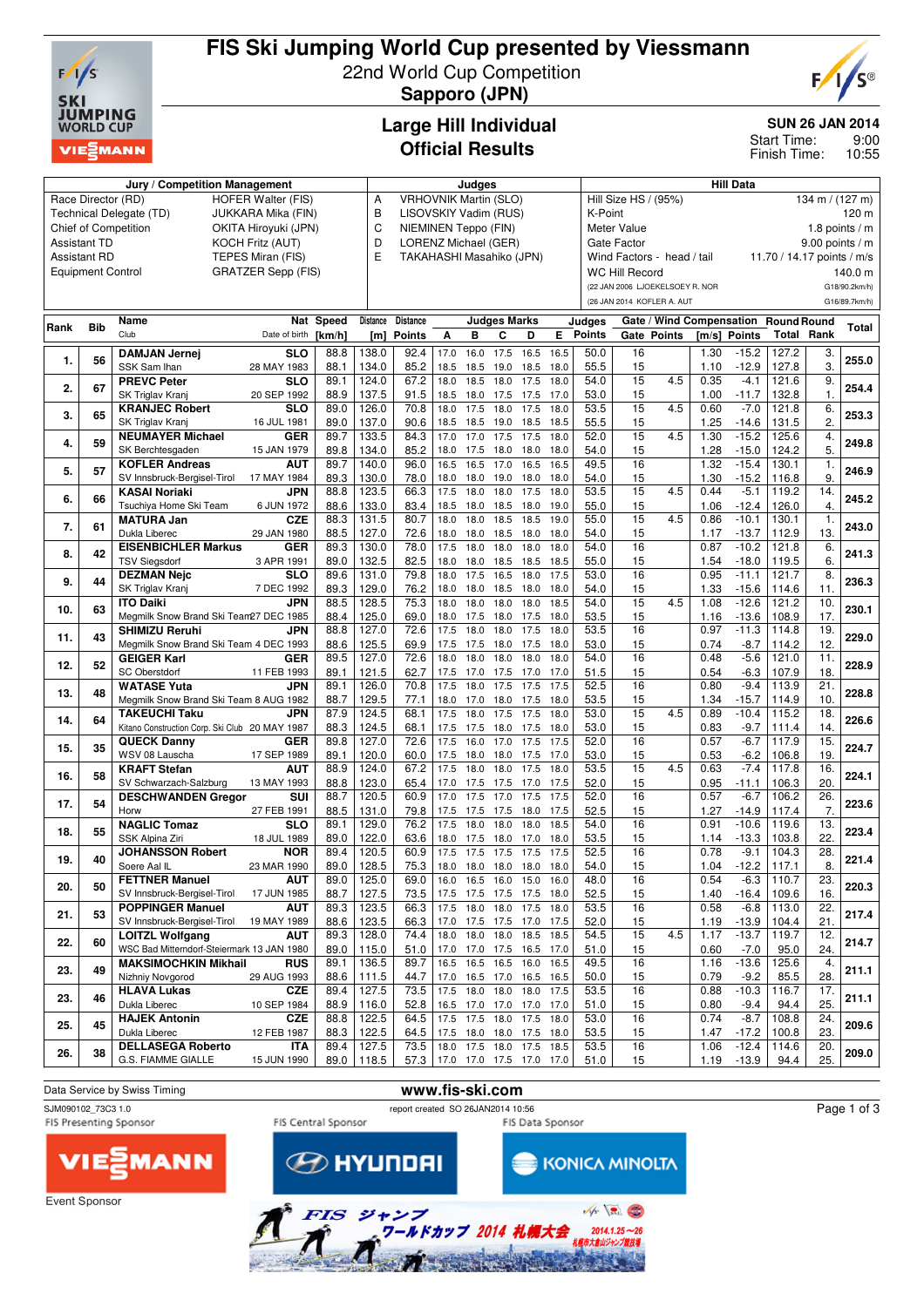

# **FIS Ski Jumping World Cup presented by Viessmann** 22nd World Cup Competition



**Sapporo (JPN)**

### **Large Hill Individual Official Results**

#### **SUN 26 JAN 2014**

9:00 10:55 Start Time: Finish Time:

|      |                                                | Jury / Competition Management                  |                           | Judges       |                |                              |              |                               |                        | <b>Hill Data</b> |              |                                         |                                         |             |              |                                      |                            |                |               |  |
|------|------------------------------------------------|------------------------------------------------|---------------------------|--------------|----------------|------------------------------|--------------|-------------------------------|------------------------|------------------|--------------|-----------------------------------------|-----------------------------------------|-------------|--------------|--------------------------------------|----------------------------|----------------|---------------|--|
|      | Race Director (RD)                             |                                                | <b>HOFER Walter (FIS)</b> |              | Α              | <b>VRHOVNIK Martin (SLO)</b> |              |                               |                        |                  |              |                                         | Hill Size HS / (95%)<br>134 m / (127 m) |             |              |                                      |                            |                |               |  |
|      |                                                | Technical Delegate (TD)                        | JUKKARA Mika (FIN)        |              | В              | LISOVSKIY Vadim (RUS)        |              |                               |                        |                  |              |                                         | K-Point<br>120 m                        |             |              |                                      |                            |                |               |  |
|      |                                                | <b>Chief of Competition</b>                    | OKITA Hiroyuki (JPN)      |              | C              | NIEMINEN Teppo (FIN)         |              |                               |                        |                  |              | Meter Value<br>1.8 points $/m$          |                                         |             |              |                                      |                            |                |               |  |
|      | <b>Assistant TD</b><br><b>KOCH Fritz (AUT)</b> |                                                |                           |              |                | D<br>LORENZ Michael (GER)    |              |                               |                        |                  |              | <b>Gate Factor</b><br>$9.00$ points / m |                                         |             |              |                                      |                            |                |               |  |
|      | <b>Assistant RD</b>                            |                                                | TEPES Miran (FIS)         |              | E              | TAKAHASHI Masahiko (JPN)     |              |                               |                        |                  |              |                                         | Wind Factors - head / tail              |             |              |                                      | 11.70 / 14.17 points / m/s |                |               |  |
|      | <b>Equipment Control</b>                       |                                                | <b>GRATZER Sepp (FIS)</b> |              |                |                              |              |                               |                        |                  |              |                                         | <b>WC Hill Record</b>                   |             |              |                                      |                            |                | 140.0 m       |  |
|      |                                                |                                                |                           |              |                |                              |              |                               |                        |                  |              |                                         | (22 JAN 2006 LJOEKELSOEY R. NOR         |             |              |                                      |                            |                | G18/90.2km/h) |  |
|      |                                                |                                                |                           |              |                |                              |              |                               |                        |                  |              |                                         | (26 JAN 2014 KOFLER A. AUT              |             |              |                                      |                            |                | G16/89.7km/h) |  |
|      |                                                | Name                                           |                           | Nat Speed    | Distance       | <b>Distance</b>              |              |                               | <b>Judges Marks</b>    |                  |              |                                         |                                         |             |              | Gate / Wind Compensation Round Round |                            |                |               |  |
| Rank | <b>Bib</b>                                     | Club                                           | Date of birth             |              |                | [m] Points                   | А            | в                             | c                      | D                | Е            | Judges<br><b>Points</b>                 |                                         | Gate Points |              | [m/s] Points                         | <b>Total Rank</b>          |                | Total         |  |
|      |                                                |                                                |                           | [km/h]       |                |                              |              |                               |                        |                  |              |                                         |                                         |             |              |                                      |                            |                |               |  |
| 1.   | 56                                             | <b>DAMJAN Jernej</b>                           | <b>SLO</b>                | 88.8         | 138.0          | 92.4                         | 17.0         | 16.0                          | 17.5                   | 16.5             | 16.5         | 50.0                                    | 16                                      |             | 1.30         | $-15.2$                              | 127.2                      | 3.             | 255.0         |  |
|      |                                                | SSK Sam Ihan                                   | 28 MAY 1983               | 88.1         | 134.0          | 85.2                         | 18.5         | 18.5                          | 19.0                   | 18.5             | 18.0         | 55.5                                    | 15                                      |             | 1.10         | $-12.9$                              | 127.8                      | 3.             |               |  |
| 2.   | 67                                             | <b>PREVC Peter</b>                             | <b>SLO</b>                | 89.1         | 124.0          | 67.2                         | 18.0         | 18.5                          | 18.0                   | 17.5             | 18.0         | 54.0                                    | 15                                      | 4.5         | 0.35         | $-4.1$                               | 121.6                      | 9.             | 254.4         |  |
|      |                                                | SK Triglav Kranj                               | 20 SEP 1992               | 88.9         | 137.5          | 91.5                         | 18.5         | 18.0                          | 17.5                   | 17.5             | 17.0         | 53.0                                    | 15<br>15                                |             | 1.00         | $-11.7$                              | 132.8                      | 1.             |               |  |
| 3.   | 65                                             | <b>KRANJEC Robert</b>                          | <b>SLO</b>                | 89.0         | 126.0          | 70.8                         | 18.0         | 17.5                          | 18.0                   | 17.5             | 18.0         | 53.5                                    |                                         | 4.5         | 0.60         | $-7.0$                               | 121.8                      | 6.             | 253.3         |  |
|      |                                                | SK Triglav Kranj<br><b>NEUMAYER Michael</b>    | 16 JUL 1981<br><b>GER</b> | 89.0<br>89.7 | 137.0<br>133.5 | 90.6<br>84.3                 | 18.5<br>17.0 | 18.5<br>17.0                  | 19.0 18.5 18.5<br>17.5 | 17.5             | 18.0         | 55.5<br>52.0                            | 15<br>15                                | 4.5         | 1.25<br>1.30 | $-14.6$<br>$-15.2$                   | 131.5<br>125.6             | 2.<br>4.       |               |  |
| 4.   | 59                                             | SK Berchtesgaden                               | 15 JAN 1979               | 89.8         | 134.0          | 85.2                         | 18.0         | 17.5                          | 18.0                   | 18.0             | 18.0         | 54.0                                    | 15                                      |             | 1.28         | $-15.0$                              | 124.2                      | 5.             | 249.8         |  |
|      |                                                | <b>KOFLER Andreas</b>                          | <b>AUT</b>                | 89.7         | 140.0          | 96.0                         | 16.5         | 16.5                          | 17.0                   | 16.5             | 16.5         | 49.5                                    | 16                                      |             | 1.32         | $-15.4$                              | 130.1                      | 1.             |               |  |
| 5.   | 57                                             | SV Innsbruck-Bergisel-Tirol                    | 17 MAY 1984               | 89.3         | 130.0          | 78.0                         | 18.0         | 18.0                          | 19.0                   | 18.0             | 18.0         | 54.0                                    | 15                                      |             | 1.30         | $-15.2$                              | 116.8                      | 9              | 246.9         |  |
|      |                                                | <b>KASAI Noriaki</b>                           | <b>JPN</b>                | 88.8         | 123.5          | 66.3                         | 17.5         | 18.0                          | 18.0                   | 17.5             | 18.0         | 53.5                                    | 15                                      | 4.5         | 0.44         | $-5.1$                               | 119.2                      | 14.            |               |  |
| 6.   | 66                                             | Tsuchiya Home Ski Team                         | 6 JUN 1972                | 88.6         | 133.0          | 83.4                         | 18.5         |                               | 18.0 18.5              | 18.0             | 19.0         | 55.0                                    | 15                                      |             | 1.06         | $-12.4$                              | 126.0                      | 4.             | 245.2         |  |
|      |                                                | <b>MATURA Jan</b>                              | <b>CZE</b>                | 88.3         | 131.5          | 80.7                         | 18.0         | 18.0                          | 18.5                   | 18.5             | 19.0         | 55.0                                    | 15                                      | 4.5         | 0.86         | $-10.1$                              | 130.1                      | $\mathbf{1}$ . |               |  |
| 7.   | 61                                             | Dukla Liberec                                  | 29 JAN 1980               | 88.5         | 127.0          | 72.6                         | 18.0         | 18.0                          | 18.5                   | 18.0             | 18.0         | 54.0                                    | 15                                      |             | 1.17         | $-13.7$                              | 112.9                      | 13.            | 243.0         |  |
|      |                                                | <b>EISENBICHLER Markus</b>                     | <b>GER</b>                | 89.3         | 130.0          | 78.0                         | 17.5         | 18.0                          | 18.0                   | 18.0             | 18.0         | 54.0                                    | 16                                      |             | 0.87         | $-10.2$                              | 121.8                      | 6.             |               |  |
| 8.   | 42                                             | <b>TSV Sieasdorf</b>                           | 3 APR 1991                | 89.0         | 132.5          | 82.5                         | 18.0         | 18.0                          | 18.5                   | 18.5             | 18.5         | 55.0                                    | 15                                      |             | 1.54         | $-18.0$                              | 119.5                      | 6.             | 241.3         |  |
|      |                                                | <b>DEZMAN Nejc</b>                             | <b>SLO</b>                | 89.6         | 131.0          | 79.8                         | 18.0         | 17.5                          | 16.5                   | 18.0             | 17.5         | 53.0                                    | 16                                      |             | 0.95         | $-11.1$                              | 121.7                      | 8.             |               |  |
| 9.   | 44                                             | SK Triglav Kranj                               | 7 DEC 1992                | 89.3         | 129.0          | 76.2                         | 18.0         | 18.0                          | 18.5                   | 18.0 18.0        |              | 54.0                                    | 15                                      |             | 1.33         | -15.6                                | 114.6                      | 11.            | 236.3         |  |
|      |                                                | <b>ITO Daiki</b>                               | <b>JPN</b>                | 88.5         | 128.5          | 75.3                         | 18.0         | 18.0                          | 18.0                   | 18.0             | 18.5         | 54.0                                    | 15                                      | 4.5         | 1.08         | $-12.6$                              | 121.2                      | 10.            |               |  |
| 10.  | 63                                             | Megmilk Snow Brand Ski Team27 DEC 1985         |                           | 88.4         | 125.0          | 69.0                         | 18.0         | 17.5                          | 18.0                   | 17.5             | 18.0         | 53.5                                    | 15                                      |             | 1.16         | $-13.6$                              | 108.9                      | 17.            | 230.1         |  |
|      | 43                                             | <b>SHIMIZU Reruhi</b>                          | <b>JPN</b>                | 88.8         | 127.0          | 72.6                         | 17.5         | 18.0                          | 18.0                   | 17.5             | 18.0         | 53.5                                    | 16                                      |             | 0.97         | $-11.3$                              | 114.8                      | 19.            | 229.0         |  |
| 11.  |                                                | Megmilk Snow Brand Ski Team 4 DEC 1993         |                           | 88.6         | 125.5          | 69.9                         | 17.5         | 17.5                          | 18.0                   | 17.5             | 18.0         | 53.0                                    | 15                                      |             | 0.74         | -8.7                                 | 114.2                      | 12.            |               |  |
| 12.  | 52                                             | <b>GEIGER Karl</b>                             | <b>GER</b>                | 89.5         | 127.0          | 72.6                         | 18.0         | 18.0                          | 18.0                   | 18.0             | 18.0         | 54.0                                    | 16                                      |             | 0.48         | $-5.6$                               | 121.0                      | 11.            | 228.9         |  |
|      |                                                | <b>SC Oberstdorf</b>                           | 11 FEB 1993               | 89.1         | 121.5          | 62.7                         | 17.5         | 17.0 17.5                     |                        | 17.0 17.0        |              | 51.5                                    | 15                                      |             | 0.54         | -6.3                                 | 107.9                      | 18.            |               |  |
| 13.  | 48                                             | <b>WATASE Yuta</b>                             | <b>JPN</b>                | 89.1         | 126.0          | 70.8                         | 17.5         | 18.0                          | 17.5                   | 17.5             | 17.5         | 52.5                                    | 16                                      |             | 0.80         | $-9.4$                               | 113.9                      | 21.            | 228.8         |  |
|      |                                                | Megmilk Snow Brand Ski Team 8 AUG 1982         |                           | 88.7         | 129.5          | 77.1                         | 18.0         | 17.0 18.0                     |                        | 17.5 18.0        |              | 53.5                                    | 15                                      |             | 1.34         | $-15.7$                              | 114.9                      | 10.            |               |  |
| 14.  | 64                                             | <b>TAKEUCHI Taku</b>                           | <b>JPN</b>                | 87.9         | 124.5          | 68.1                         | 17.5         | 18.0                          | 17.5                   | 17.5             | 18.0         | 53.0                                    | $\overline{15}$                         | 4.5         | 0.89         | $-10.4$                              | 115.2                      | 18.            | 226.6         |  |
|      |                                                | Kitano Construction Corp. Ski Club 20 MAY 1987 |                           | 88.3         | 124.5          | 68.1                         | 17.5         | 17.5                          | 18.0                   | 17.5             | 18.0         | 53.0                                    | 15                                      |             | 0.83         | $-9.7$                               | 111.4                      | 14.            |               |  |
| 15.  | 35                                             | <b>QUECK Danny</b>                             | <b>GER</b>                | 89.8         | 127.0          | 72.6                         | 17.5         | 16.0                          | 17.0                   | 17.5             | 17.5         | 52.0                                    | 16                                      |             | 0.57         | $-6.7$                               | 117.9                      | 15.            | 224.7         |  |
|      |                                                | WSV 08 Lauscha                                 | 17 SEP 1989               | 89.1         | 120.0          | 60.0                         | 17.5         | 18.0                          | 18.0                   | 17.5             | 17.0         | 53.0                                    | 15                                      |             | 0.53         | $-6.2$                               | 106.8                      | 19             |               |  |
| 16.  | 58                                             | <b>KRAFT Stefan</b>                            | <b>AUT</b>                | 88.9         | 124.0          | 67.2                         | 17.5         | 18.0                          | 18.0                   | 17.5             | 18.0         | 53.5                                    | 15                                      | 4.5         | 0.63         | $-7.4$                               | 117.8                      | 16.            | 224.1         |  |
|      |                                                | SV Schwarzach-Salzburg                         | 13 MAY 1993               | 88.8         | 123.0          | 65.4                         | 17.0         | 17.5                          | 17.5                   | 17.0             | 17.5         | 52.0                                    | 15                                      |             | 0.95         | -11.1                                | 106.3                      | 20.            |               |  |
| 17.  | 54                                             | <b>DESCHWANDEN Gregor</b>                      | <b>SUI</b>                | 88.7         | 120.5          | 60.9                         | 17.0         | 17.5                          | 17.0                   | 17.5             | 17.5         | 52.0                                    | 16                                      |             | 0.57         | $-6.7$                               | 106.2                      | 26.            | 223.6         |  |
|      |                                                | Horw<br><b>NAGLIC Tomaz</b>                    | 27 FEB 1991<br><b>SLO</b> | 88.5<br>89.1 | 131.0<br>129.0 | 79.8<br>76.2                 | 17.5<br>17.5 | 17.5<br>18.0                  | 17.5<br>18.0           | 18.0<br>18.0     | 17.5<br>18.5 | 52.5<br>54.0                            | 15<br>16                                |             | 1.27<br>0.91 | $-14.9$<br>$-10.6$                   | 117.4<br>119.6             | 7.<br>13.      |               |  |
| 18.  | 55                                             | SSK Alpina Ziri                                | 18 JUL 1989               | 89.0         | 122.0          | 63.6                         | 18.0         | 17.5                          | 18.0                   | 17.0             | 18.0         | 53.5                                    | 15                                      |             | 1.14         | $-13.3$                              | 103.8                      | 22.            | 223.4         |  |
|      |                                                | <b>JOHANSSON Robert</b>                        | <b>NOR</b>                | 89.4         | 120.5          | 60.9                         | 17.5         | 17.5                          | 17.5                   | 17.5             | 17.5         | 52.5                                    | 16                                      |             | 0.78         | $-9.1$                               | 104.3                      | 28.            |               |  |
| 19.  | 40                                             | Soere Aal IL                                   | 23 MAR 1990               | 89.0         | 128.5          | 75.3                         | 18.0         |                               | 18.0 18.0 18.0         |                  | 18.0         | 54.0                                    | 15                                      |             | 1.04         | $-12.2$                              | 117.1                      | 8.             | 221.4         |  |
|      |                                                | <b>FETTNER Manuel</b>                          | AUT                       | 89.0         | 125.0          | 69.0                         | 16.0         | 16.5 16.0 15.0 16.0           |                        |                  |              | 48.0                                    | 16                                      |             | 0.54         | $-6.3$                               | 110.7                      | 23.            |               |  |
| 20.  | 50                                             | SV Innsbruck-Bergisel-Tirol                    | 17 JUN 1985               | 88.7         | 127.5          | 73.5                         |              | 17.5 17.5 17.5 17.5 18.0      |                        |                  |              | 52.5                                    | 15                                      |             | 1.40         | $-16.4$                              | 109.6                      | 16.            | 220.3         |  |
|      |                                                | <b>POPPINGER Manuel</b>                        | AUT                       | 89.3         | 123.5          | 66.3                         | 17.5         | 18.0                          | 18.0                   | 17.5             | 18.0         | 53.5                                    | 16                                      |             | 0.58         | $-6.8$                               | 113.0                      | 22.            |               |  |
| 21.  | 53                                             | SV Innsbruck-Bergisel-Tirol                    | 19 MAY 1989               | 88.6         | 123.5          | 66.3                         | 17.0         |                               | 17.5 17.5 17.0 17.5    |                  |              | 52.0                                    | 15                                      |             | 1.19         | $-13.9$                              | 104.4                      | 21.            | 217.4         |  |
|      |                                                | <b>LOITZL Wolfgang</b>                         | AUT                       | 89.3         | 128.0          | 74.4                         | 18.0         | 18.0 18.0                     |                        | 18.5 18.5        |              | 54.5                                    | 15                                      | 4.5         | 1.17         | $-13.7$                              | 119.7                      | 12.            |               |  |
| 22.  | 60                                             | WSC Bad Mitterndorf-Steiermark 13 JAN 1980     |                           | 89.0         | 115.0          | 51.0                         | 17.0         |                               | 17.0 17.5 16.5 17.0    |                  |              | 51.0                                    | 15                                      |             | 0.60         | $-7.0$                               | 95.0                       | 24.            | 214.7         |  |
|      | 49                                             | <b>MAKSIMOCHKIN Mikhail</b>                    | <b>RUS</b>                | 89.1         | 136.5          | 89.7                         | 16.5         |                               | 16.5 16.5 16.0 16.5    |                  |              | 49.5                                    | 16                                      |             | 1.16         | $-13.6$                              | 125.6                      | 4.             | 211.1         |  |
| 23.  |                                                | Nizhniy Novgorod                               | 29 AUG 1993               | 88.6         | 111.5          | 44.7                         | 17.0         |                               | 16.5 17.0 16.5 16.5    |                  |              | 50.0                                    | 15                                      |             | 0.79         | $-9.2$                               | 85.5                       | 28.            |               |  |
| 23.  | 46                                             | <b>HLAVA Lukas</b>                             | CZE                       | 89.4         | 127.5          | 73.5                         | 17.5         |                               | 18.0 18.0 18.0 17.5    |                  |              | 53.5                                    | 16                                      |             | 0.88         | $-10.3$                              | 116.7                      | 17.            | 211.1         |  |
|      |                                                | Dukla Liberec                                  | 10 SEP 1984               | 88.9         | 116.0          | 52.8                         | 16.5         |                               | 17.0 17.0 17.0 17.0    |                  |              | 51.0                                    | 15                                      |             | 0.80         | $-9.4$                               | 94.4                       | 25.            |               |  |
| 25.  | 45                                             | <b>HAJEK Antonin</b>                           | <b>CZE</b>                | 88.8         | 122.5          | 64.5                         | 17.5         | 17.5 18.0                     |                        | 17.5 18.0        |              | 53.0                                    | 16                                      |             | 0.74         | $-8.7$                               | 108.8                      | 24.            | 209.6         |  |
|      |                                                | Dukla Liberec                                  | 12 FEB 1987               | 88.3         | 122.5          | 64.5                         |              | 17.5 18.0 18.0 17.5 18.0      |                        |                  |              | 53.5                                    | 15                                      |             | 1.47         | $-17.2$                              | 100.8                      | 23.            |               |  |
| 26.  | 38                                             | <b>DELLASEGA Roberto</b>                       | <b>ITA</b>                | 89.4         | 127.5          | 73.5                         |              | 18.0 17.5 18.0 17.5 18.5      |                        |                  |              | 53.5                                    | 16                                      |             | 1.06         | $-12.4$                              | 114.6                      | 20.            | 209.0         |  |
|      |                                                | G.S. FIAMME GIALLE                             | 15 JUN 1990               | 89.0         | 118.5          |                              |              | 57.3 17.0 17.0 17.5 17.0 17.0 |                        |                  |              | 51.0                                    | 15                                      |             | 1.19         | $-13.9$                              | 94.4                       | 25.            |               |  |



ワールドカップ 2014 札幌大会

 $2014.1.25 - 26$ 市大倉山ジャンプ競技場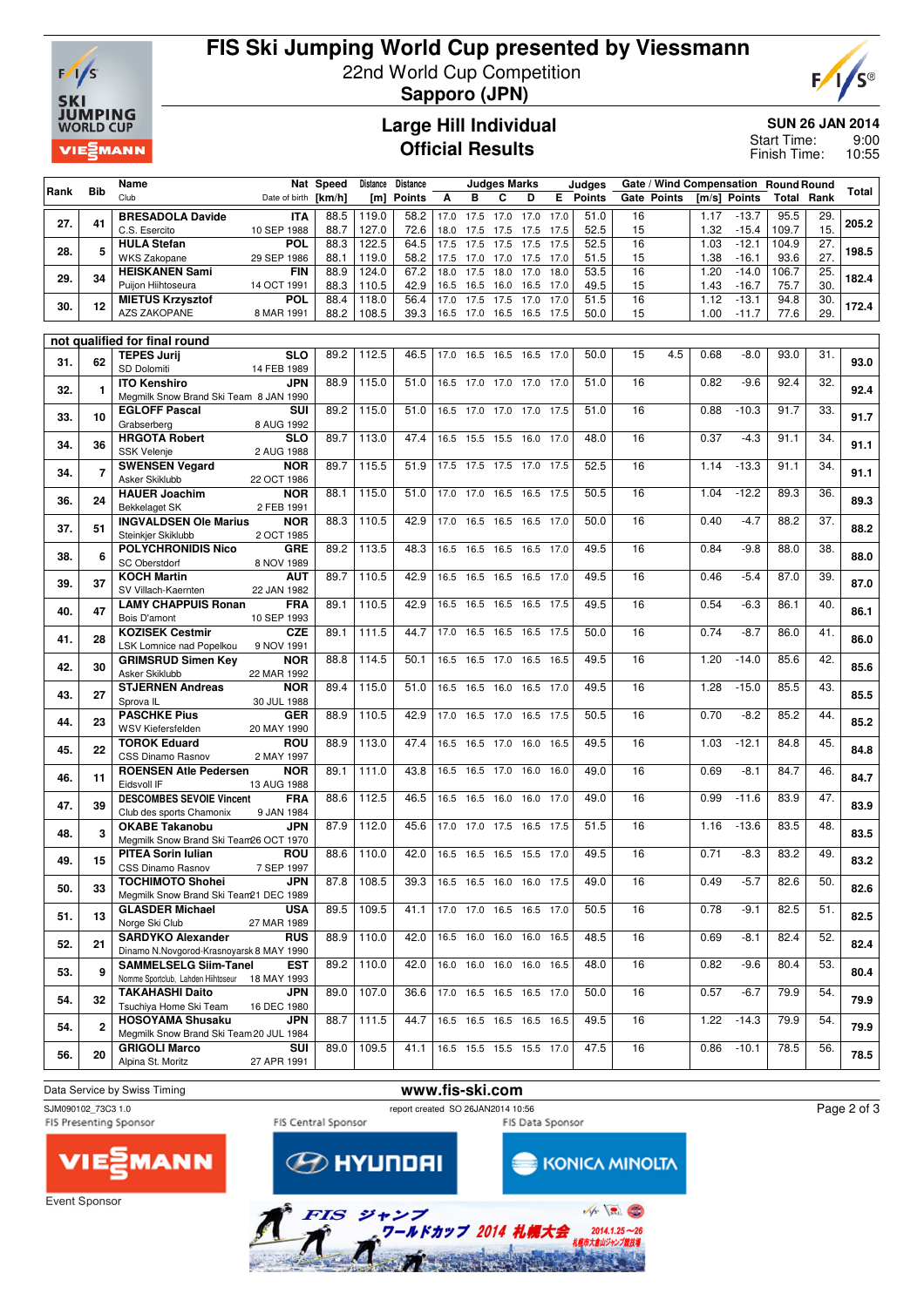

# **FIS Ski Jumping World Cup presented by Viessmann** 22nd World Cup Competition **Sapporo (JPN)**



**Large Hill Individual Official Results**

**SUN 26 JAN 2014**

9:00 10:55 Start Time: Finish Time:

|      |                | Name                                                         |                           | Nat Speed    | <b>Distance</b> | <b>Distance</b> |      |           | <b>Judges Marks</b>         |      |              | Judges        |          |                    |              | Gate / Wind Compensation Round Round |               |            |       |
|------|----------------|--------------------------------------------------------------|---------------------------|--------------|-----------------|-----------------|------|-----------|-----------------------------|------|--------------|---------------|----------|--------------------|--------------|--------------------------------------|---------------|------------|-------|
| Rank | <b>Bib</b>     | Club                                                         | Date of birth [km/h]      |              | [m]             | <b>Points</b>   | A    | в         | C                           | D    | E.           | <b>Points</b> |          | <b>Gate Points</b> |              | [m/s] Points                         | Total         | Rank       | Total |
| 27.  | 41             | <b>BRESADOLA Davide</b>                                      | <b>ITA</b>                | 88.5         | 119.0           | 58.2            | 17.0 | 17.5      | 17.0                        | 17.0 | 17.0         | 51.0          | 16       |                    | 1.17         | $-13.7$                              | 95.5          | 29.        | 205.2 |
|      |                | C.S. Esercito                                                | 10 SEP 1988               | 88.7         | 127.0           | 72.6            |      |           | 18.0 17.5 17.5 17.5 17.5    |      |              | 52.5          | 15       |                    | 1.32         | $-15.4$                              | 109.7         | 15.        |       |
| 28.  | 5              | <b>HULA Stefan</b><br><b>WKS Zakopane</b>                    | <b>POL</b><br>29 SEP 1986 | 88.3<br>88.1 | 122.5<br>119.0  | 64.5<br>58.2    | 17.5 | 17.5      | 17.5<br>17.5 17.0 17.0 17.5 | 17.5 | 17.5<br>17.0 | 52.5<br>51.5  | 16<br>15 |                    | 1.03<br>1.38 | $-12.1$<br>$-16.1$                   | 104.9<br>93.6 | 27.<br>27. | 198.5 |
|      |                | <b>HEISKANEN Sami</b>                                        | FIN                       | 88.9         | 124.0           | 67.2            | 18.0 | 17.5      | 18.0                        | 17.0 | 18.0         | 53.5          | 16       |                    | 1.20         | $-14.0$                              | 106.7         | 25.        |       |
| 29.  | 34             | Puijon Hiihtoseura                                           | 14 OCT 1991               | 88.3         | 110.5           | 42.9            |      | 16.5 16.5 | 16.0                        | 16.5 | 17.0         | 49.5          | 15       |                    | 1.43         | $-16.7$                              | 75.7          | 30.        | 182.4 |
| 30.  | 12             | <b>MIETUS Krzysztof</b>                                      | <b>POL</b>                | 88.4         | 118.0           | 56.4            | 17.0 | 17.5      | 17.5                        | 17.0 | 17.0         | 51.5          | 16       |                    | 1.12         | $-13.1$                              | 94.8          | 30.        | 172.4 |
|      |                | AZS ZAKOPANE                                                 | 8 MAR 1991                | 88.2         | 108.5           | 39.3            |      |           | 16.5 17.0 16.5 16.5 17.5    |      |              | 50.0          | 15       |                    | 1.00         | $-11.7$                              | 77.6          | 29.        |       |
|      |                | not qualified for final round                                |                           |              |                 |                 |      |           |                             |      |              |               |          |                    |              |                                      |               |            |       |
|      |                | <b>TEPES Jurij</b>                                           | <b>SLO</b>                | 89.2         | 112.5           | 46.5            |      |           | 17.0 16.5 16.5 16.5         |      | 17.0         | 50.0          | 15       | 4.5                | 0.68         | $-8.0$                               | 93.0          | 31.        |       |
| 31.  | 62             | SD Dolomiti                                                  | 14 FEB 1989               |              |                 |                 |      |           |                             |      |              |               |          |                    |              |                                      |               |            | 93.0  |
| 32.  | $\mathbf{1}$   | <b>ITO Kenshiro</b>                                          | <b>JPN</b>                | 88.9         | 115.0           | 51.0            |      | 16.5 17.0 | 17.0                        | 17.0 | 17.0         | 51.0          | 16       |                    | 0.82         | $-9.6$                               | 92.4          | 32.        | 92.4  |
|      |                | Megmilk Snow Brand Ski Team 8 JAN 1990                       |                           |              |                 |                 |      |           |                             |      |              |               |          |                    |              |                                      |               |            |       |
| 33.  | 10             | <b>EGLOFF Pascal</b><br>Grabserberg                          | SUI<br>8 AUG 1992         | 89.2         | 115.0           | 51.0            |      |           | 16.5 17.0 17.0 17.0         |      | 17.5         | 51.0          | 16       |                    | 0.88         | $-10.3$                              | 91.7          | 33.        | 91.7  |
|      |                | <b>HRGOTA Robert</b>                                         | <b>SLO</b>                | 89.7         | 113.0           | 47.4            |      |           | 16.5 15.5 15.5 16.0         |      | 17.0         | 48.0          | 16       |                    | 0.37         | $-4.3$                               | 91.1          | 34.        |       |
| 34.  | 36             | <b>SSK Velenje</b>                                           | 2 AUG 1988                |              |                 |                 |      |           |                             |      |              |               |          |                    |              |                                      |               |            | 91.1  |
| 34.  | $\overline{7}$ | <b>SWENSEN Vegard</b>                                        | <b>NOR</b>                | 89.7         | 115.5           | 51.9            |      |           | 17.5 17.5 17.5 17.0         |      | 17.5         | 52.5          | 16       |                    | 1.14         | $-13.3$                              | 91.1          | 34.        | 91.1  |
|      |                | Asker Skiklubb                                               | 22 OCT 1986               |              |                 |                 |      |           |                             |      |              |               |          |                    |              |                                      |               |            |       |
| 36.  | 24             | <b>HAUER Joachim</b><br><b>Bekkelaget SK</b>                 | NOR                       | 88.1         | 115.0           | 51.0            | 17.0 | 17.0      | 16.5                        | 16.5 | 17.5         | 50.5          | 16       |                    | 1.04         | $-12.2$                              | 89.3          | 36.        | 89.3  |
|      |                | <b>INGVALDSEN Ole Marius</b>                                 | 2 FEB 1991<br><b>NOR</b>  | 88.3         | 110.5           | 42.9            |      |           | 17.0 16.5 16.5 16.5         |      | 17.0         | 50.0          | 16       |                    | 0.40         | $-4.7$                               | 88.2          | 37.        |       |
| 37.  | 51             | Steinkjer Skiklubb                                           | 2 OCT 1985                |              |                 |                 |      |           |                             |      |              |               |          |                    |              |                                      |               |            | 88.2  |
| 38.  | 6              | <b>POLYCHRONIDIS Nico</b>                                    | <b>GRE</b>                | 89.2         | 113.5           | 48.3            |      |           | 16.5 16.5 16.5 16.5 17.0    |      |              | 49.5          | 16       |                    | 0.84         | $-9.8$                               | 88.0          | 38.        | 88.0  |
|      |                | <b>SC Oberstdorf</b>                                         | 8 NOV 1989                |              |                 |                 |      |           |                             |      |              |               |          |                    |              |                                      |               |            |       |
| 39.  | 37             | <b>KOCH Martin</b><br>SV Villach-Kaernten                    | AUT                       | 89.7         | 110.5           | 42.9            |      |           | 16.5 16.5 16.5 16.5 17.0    |      |              | 49.5          | 16       |                    | 0.46         | $-5.4$                               | 87.0          | 39.        | 87.0  |
|      |                | <b>LAMY CHAPPUIS Ronan</b>                                   | 22 JAN 1982<br>FRA        | 89.1         | 110.5           | 42.9            |      |           | 16.5 16.5 16.5 16.5 17.5    |      |              | 49.5          | 16       |                    | 0.54         | $-6.3$                               | 86.1          | 40.        |       |
| 40.  | 47             | Bois D'amont                                                 | 10 SEP 1993               |              |                 |                 |      |           |                             |      |              |               |          |                    |              |                                      |               |            | 86.1  |
| 41.  | 28             | <b>KOZISEK Cestmir</b>                                       | CZE                       | 89.1         | 111.5           | 44.7            |      |           | 17.0 16.5 16.5 16.5 17.5    |      |              | 50.0          | 16       |                    | 0.74         | $-8.7$                               | 86.0          | 41.        | 86.0  |
|      |                | LSK Lomnice nad Popelkou                                     | 9 NOV 1991                |              |                 |                 |      |           |                             |      |              |               |          |                    |              |                                      |               |            |       |
| 42.  | 30             | <b>GRIMSRUD Simen Key</b>                                    | NOR                       | 88.8         | 114.5           | 50.1            |      |           | 16.5 16.5 17.0 16.5         |      | 16.5         | 49.5          | 16       |                    | 1.20         | $-14.0$                              | 85.6          | 42.        | 85.6  |
|      |                | Asker Skiklubb<br><b>STJERNEN Andreas</b>                    | 22 MAR 1992<br><b>NOR</b> | 89.4         | 115.0           | 51.0            |      |           | 16.5 16.5 16.0 16.5 17.0    |      |              | 49.5          | 16       |                    | 1.28         | $-15.0$                              | 85.5          | 43.        |       |
| 43.  | 27             | Sprova IL                                                    | 30 JUL 1988               |              |                 |                 |      |           |                             |      |              |               |          |                    |              |                                      |               |            | 85.5  |
| 44.  | 23             | <b>PASCHKE Pius</b>                                          | <b>GER</b>                | 88.9         | 110.5           | 42.9            |      |           | 17.0 16.5 17.0 16.5 17.5    |      |              | 50.5          | 16       |                    | 0.70         | $-8.2$                               | 85.2          | 44.        | 85.2  |
|      |                | WSV Kiefersfelden                                            | 20 MAY 1990               |              |                 |                 |      |           |                             |      |              |               |          |                    |              |                                      |               |            |       |
| 45.  | 22             | <b>TOROK Eduard</b>                                          | ROU                       | 88.9         | 113.0           | 47.4            |      |           | 16.5 16.5 17.0 16.0         |      | 16.5         | 49.5          | 16       |                    | 1.03         | $-12.1$                              | 84.8          | 45.        | 84.8  |
|      |                | <b>CSS Dinamo Rasnov</b><br><b>ROENSEN Atle Pedersen</b>     | 2 MAY 1997<br><b>NOR</b>  | 89.1         | 111.0           | 43.8            |      |           | 16.5 16.5 17.0 16.0         |      | 16.0         | 49.0          | 16       |                    | 0.69         | $-8.1$                               | 84.7          | 46.        |       |
| 46.  | 11             | Eidsvoll IF                                                  | 13 AUG 1988               |              |                 |                 |      |           |                             |      |              |               |          |                    |              |                                      |               |            | 84.7  |
| 47.  | 39             | <b>DESCOMBES SEVOIE Vincent</b>                              | FRA                       | 88.6         | 112.5           | 46.5            |      |           | 16.5 16.5 16.0 16.0         |      | 17.0         | 49.0          | 16       |                    | 0.99         | $-11.6$                              | 83.9          | 47.        | 83.9  |
|      |                | Club des sports Chamonix                                     | 9 JAN 1984                |              |                 |                 |      |           |                             |      |              |               |          |                    |              |                                      |               |            |       |
| 48.  | 3              | <b>OKABE Takanobu</b>                                        | <b>JPN</b>                | 87.9         | 112.0           | 45.6            |      |           | 17.0 17.0 17.5 16.5 17.5    |      |              | 51.5          | 16       |                    | 1.16         | $-13.6$                              | 83.5          | 48.        | 83.5  |
|      |                | Megmilk Snow Brand Ski Team26 OCT 1970<br>PITEA Sorin Iulian | <b>ROU</b>                | 88.6         | 110.0           | 42.0            |      |           | 16.5 16.5 16.5 15.5 17.0    |      |              | 49.5          | 16       |                    | 0.71         | $-8.3$                               | 83.2          | 49.        |       |
| 49.  | 15             | CSS Dinamo Rasnov                                            | 7 SEP 1997                |              |                 |                 |      |           |                             |      |              |               |          |                    |              |                                      |               |            | 83.2  |
| 50.  | 33             | <b>TOCHIMOTO Shohei</b>                                      | JPN                       | 87.8         | 108.5           | 39.3            |      |           | 16.5 16.5 16.0 16.0 17.5    |      |              | 49.0          | 16       |                    | 0.49         | $-5.7$                               | 82.6          | 50.        | 82.6  |
|      |                | Megmilk Snow Brand Ski Team21 DEC 1989                       |                           |              |                 |                 |      |           |                             |      |              |               |          |                    |              |                                      |               |            |       |
| 51.  | 13             | <b>GLASDER Michael</b>                                       | <b>USA</b>                | 89.5         | 109.5           | 41.1            |      |           | 17.0 17.0 16.5 16.5 17.0    |      |              | 50.5          | 16       |                    | 0.78         | $-9.1$                               | 82.5          | 51.        | 82.5  |
|      |                | Norge Ski Club<br><b>SARDYKO Alexander</b>                   | 27 MAR 1989<br><b>RUS</b> | 88.9         | 110.0           | 42.0            |      |           | 16.5 16.0 16.0 16.0 16.5    |      |              | 48.5          | 16       |                    | 0.69         | $-8.1$                               | 82.4          | 52.        |       |
| 52.  | 21             | Dinamo N.Novgorod-Krasnoyarsk 8 MAY 1990                     |                           |              |                 |                 |      |           |                             |      |              |               |          |                    |              |                                      |               |            | 82.4  |
|      | 9              | <b>SAMMELSELG Siim-Tanel</b>                                 | EST                       | 89.2         | 110.0           | 42.0            |      |           | 16.0 16.0 16.0 16.0 16.5    |      |              | 48.0          | 16       |                    | 0.82         | $-9.6$                               | 80.4          | 53.        |       |
| 53.  |                | Nomme Sportclub, Lahden Hiihtoseur 18 MAY 1993               |                           |              |                 |                 |      |           |                             |      |              |               |          |                    |              |                                      |               |            | 80.4  |
| 54.  | 32             | <b>TAKAHASHI Daito</b>                                       | JPN                       | 89.0         | 107.0           | 36.6            |      |           | 17.0 16.5 16.5 16.5 17.0    |      |              | 50.0          | 16       |                    | 0.57         | $-6.7$                               | 79.9          | 54.        | 79.9  |
|      |                | Tsuchiya Home Ski Team<br><b>HOSOYAMA Shusaku</b>            | 16 DEC 1980<br>JPN        | 88.7         | 111.5           | 44.7            |      |           | 16.5 16.5 16.5 16.5 16.5    |      |              | 49.5          | 16       |                    | 1.22         | $-14.3$                              | 79.9          | 54.        |       |
| 54.  | $\overline{2}$ | Megmilk Snow Brand Ski Team 20 JUL 1984                      |                           |              |                 |                 |      |           |                             |      |              |               |          |                    |              |                                      |               |            | 79.9  |
| 56.  | 20             | <b>GRIGOLI Marco</b>                                         | SUI                       | 89.0         | 109.5           | 41.1            |      |           | 16.5 15.5 15.5 15.5 17.0    |      |              | 47.5          | 16       |                    |              | $0.86 - 10.1$                        | 78.5          | 56.        | 78.5  |
|      |                | Alpina St. Moritz                                            | 27 APR 1991               |              |                 |                 |      |           |                             |      |              |               |          |                    |              |                                      |               |            |       |



KONICA MINOLTA

SJM090102\_73C3 1.0<br>FIS Presenting Sponsor FIS Central Sponsor FIS Central Sponsor FIS Presenting Sponsor FIS Data Sponsor

 $\circled{{\mathcal P}}$  hyundai

Page 2 of 3



Event Sponsor